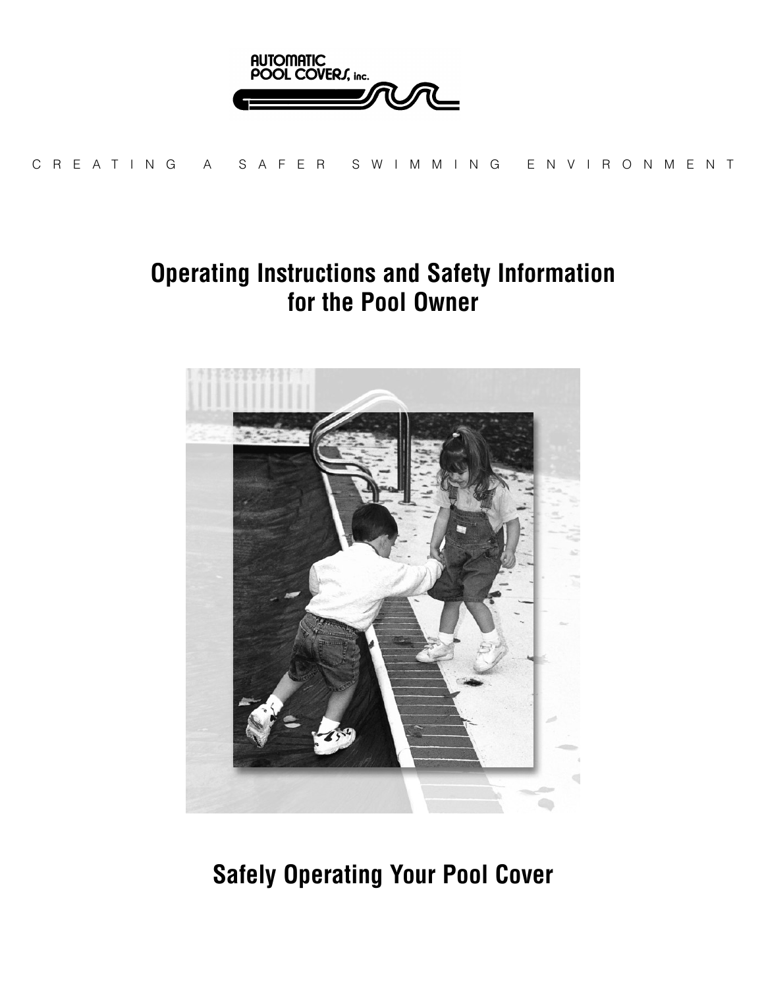

CREA TING A SAFER SWIMMING ENVIRONMENT

### **Operating Instructions and Safety Information for the Pool Owner**



**Safely Operating Your Pool Cover**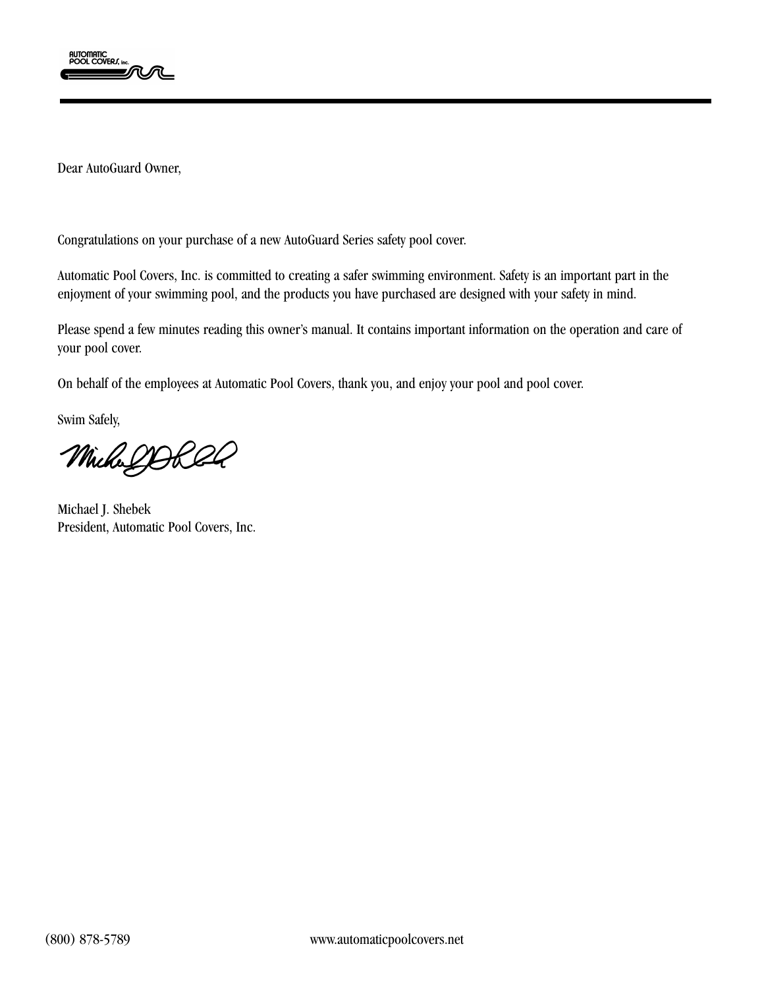

Dear AutoGuard Owner,

Congratulations on your purchase of a new AutoGuard Series safety pool cover.

Automatic Pool Covers, Inc. is committed to creating a safer swimming environment. Safety is an important part in the enjoyment of your swimming pool, and the products you have purchased are designed with your safety in mind.

Please spend a few minutes reading this owner's manual. It contains important information on the operation and care of your pool cover.

On behalf of the employees at Automatic Pool Covers, thank you, and enjoy your pool and pool cover.

Swim Safely,

MichalDORRA

Michael J. Shebek President, Automatic Pool Covers, Inc.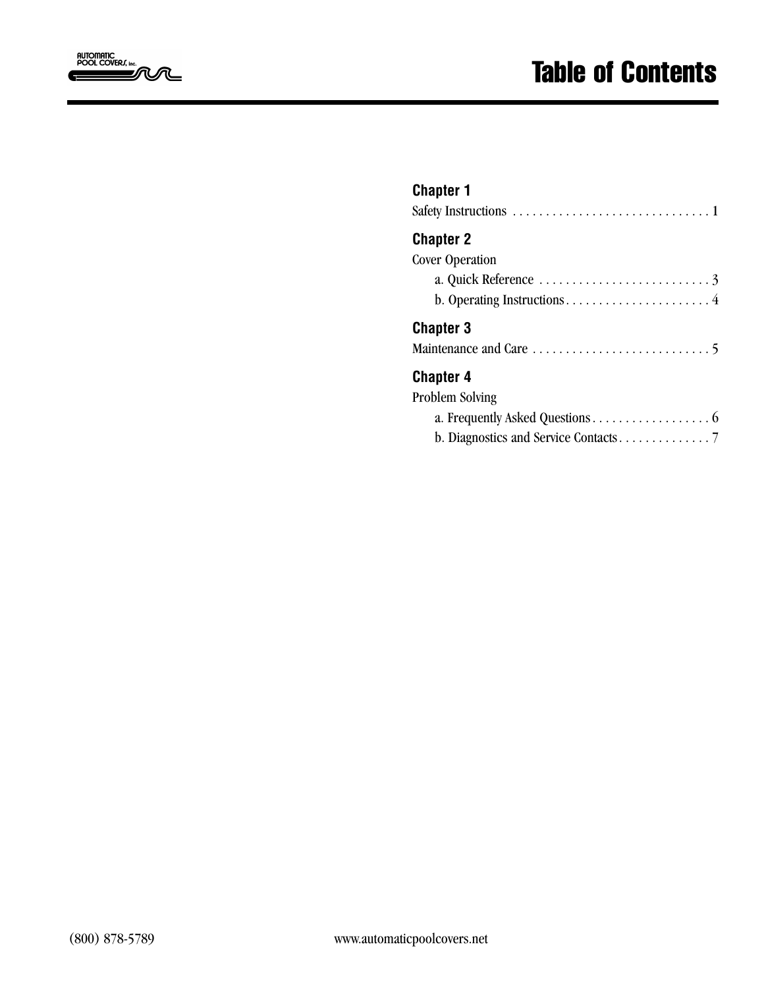

| <b></b>                |  |  |  |  |  |  |
|------------------------|--|--|--|--|--|--|
| <b>Chapter 2</b>       |  |  |  |  |  |  |
| <b>Cover Operation</b> |  |  |  |  |  |  |
|                        |  |  |  |  |  |  |
|                        |  |  |  |  |  |  |
| <b>Chapter 3</b>       |  |  |  |  |  |  |
|                        |  |  |  |  |  |  |
| <b>Chapter 4</b>       |  |  |  |  |  |  |
| <b>Problem Solving</b> |  |  |  |  |  |  |
|                        |  |  |  |  |  |  |

b. Diagnostics and Service Contacts. . . . . . . . . . . . . . 7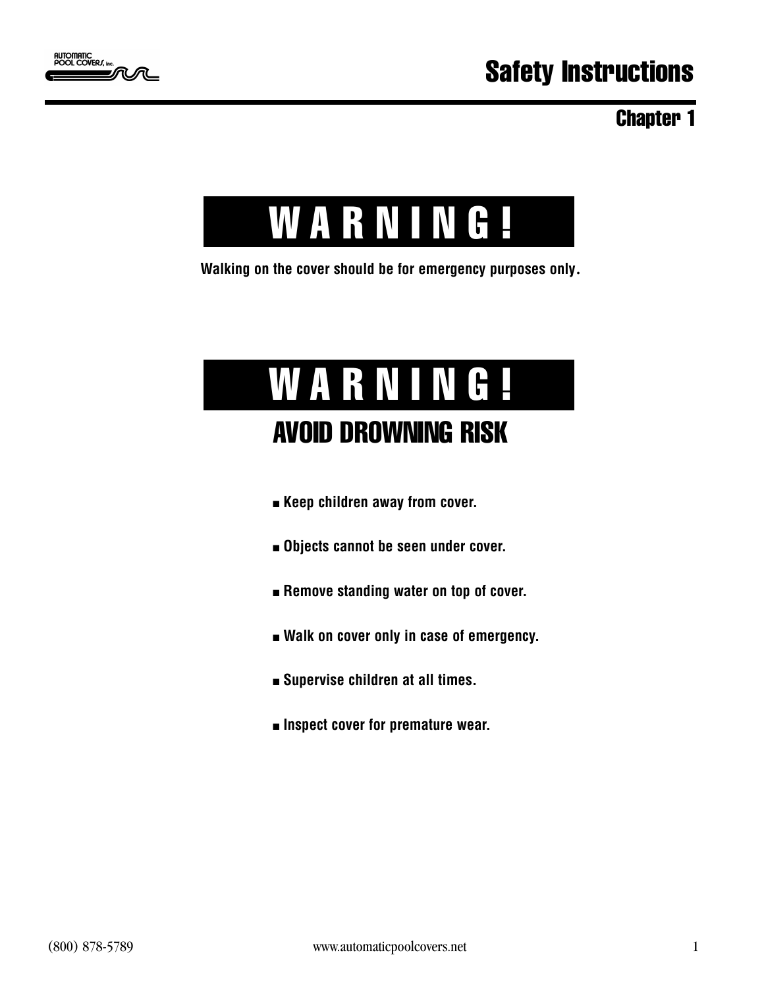



**Walking on the cover should be for emergency purposes only**.

## WARNING! AVOID DROWNING RISK

- **Example 2 Keep children away from cover.**
- n **Objects cannot be seen under cover.**
- $\blacksquare$  Remove standing water on top of cover.
- $\blacksquare$  Walk on cover only in case of emergency.
- n **Supervise children at all times.**
- n **Inspect cover for premature wear.**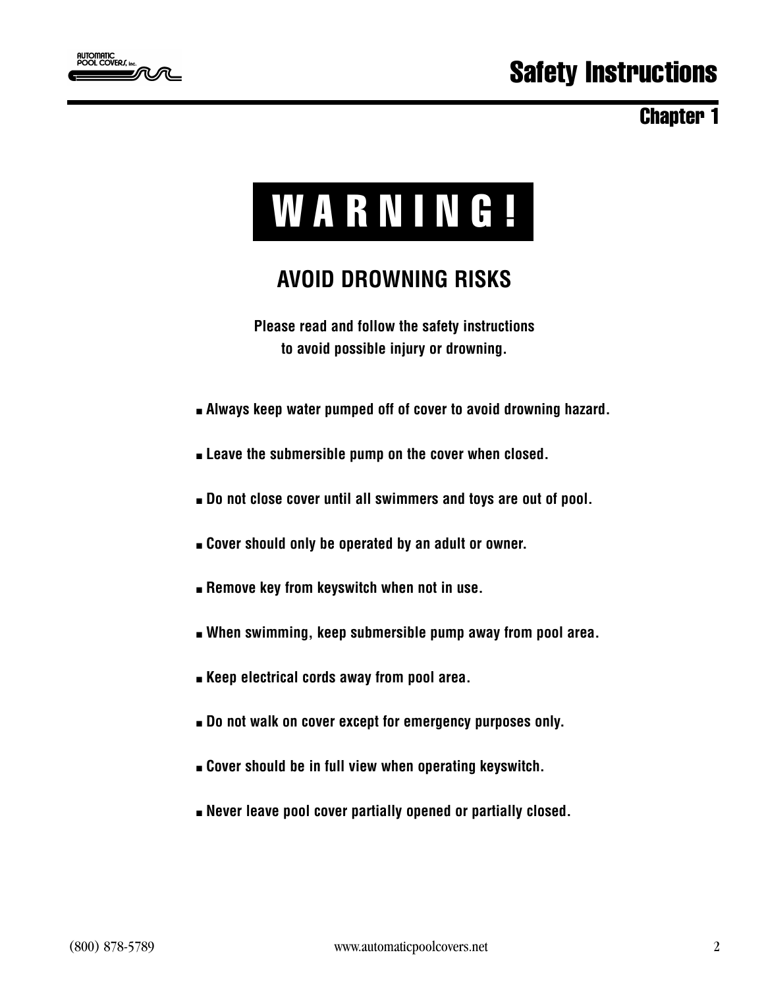

# WARNING!

### **AVOID DROWNING RISKS**

**Please read and follow the safety instructions to avoid possible injury or drowning.**

- <sup>n</sup> **Always keep water pumped off of cover to avoid drowning hazard.**
- **Example 20 Example 20 Feature 10 Feature 10 Feature 10 Feature 10 Feature 10 Feature 10 Feature 10 Feature 10 Feature 10 Feature 10 Feature 10 Feature 10 Feature 10 Feature 10 Feature 10 Feature 10 Feature 10 Feature 10 F**
- $\blacksquare$  Do not close cover until all swimmers and toys are out of pool.
- <sup>n</sup> **Cover should only be operated by an adult or owner.**
- **Example 8 Hermove key from keyswitch when not in use.**
- <sup>n</sup> **When swimming, keep submersible pump away from pool area.**
- **Example 1 Keep electrical cords away from pool area.**
- $\blacksquare$  **Do not walk on cover except for emergency purposes only.**
- <sup>n</sup> **Cover should be in full view when operating keyswitch.**
- <sup>n</sup> **Never leave pool cover partially opened or partially closed.**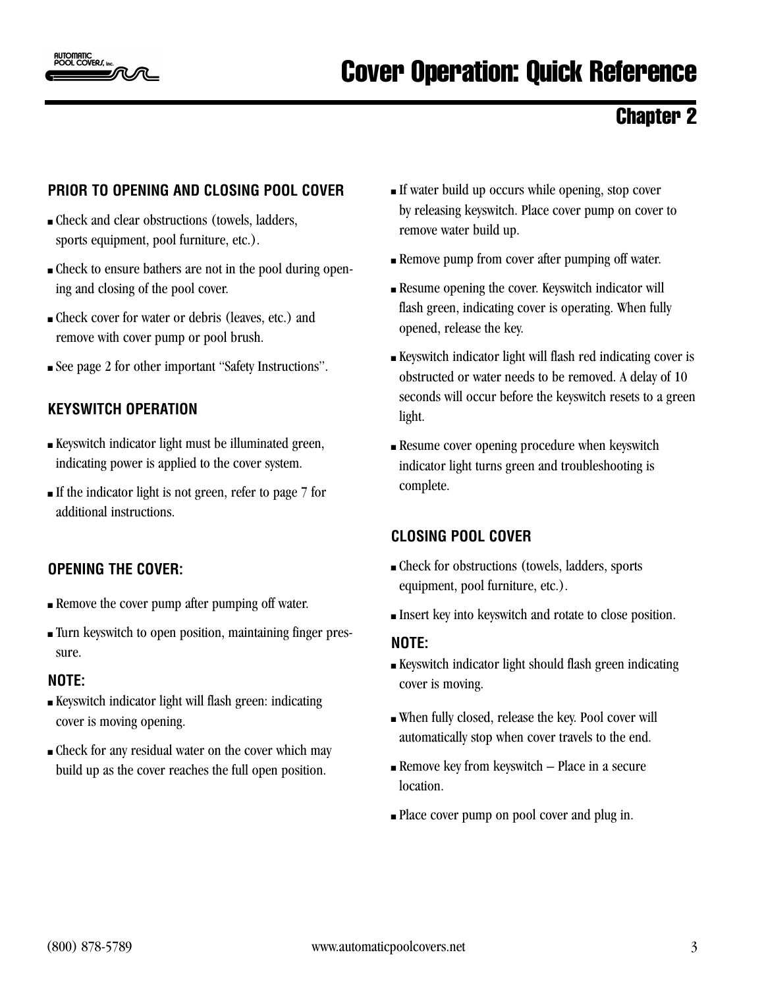

#### **PRIOR TO OPENING AND CLOSING POOL COVER**

- <sup>n</sup> Check and clear obstructions (towels, ladders, sports equipment, pool furniture, etc.).
- <sup>n</sup> Check to ensure bathers are not in the pool during opening and closing of the pool cover.
- <sup>n</sup> Check cover for water or debris (leaves, etc.) and remove with cover pump or pool brush.
- <sup>n</sup> See page 2 for other important "Safety Instructions".

#### **KEYSWITCH OPERATION**

- <sup>n</sup> Keyswitch indicator light must be illuminated green, indicating power is applied to the cover system.
- $\blacksquare$  If the indicator light is not green, refer to page 7 for additional instructions.

#### **OPENING THE COVER:**

- <sup>n</sup> Remove the cover pump after pumping off water.
- <sup>n</sup> Turn keyswitch to open position, maintaining finger pressure.

#### **NOTE:**

- <sup>n</sup> Keyswitch indicator light will flash green: indicating cover is moving opening.
- <sup>n</sup> Check for any residual water on the cover which may build up as the cover reaches the full open position.
- <sup>n</sup> If water build up occurs while opening, stop cover by releasing keyswitch. Place cover pump on cover to remove water build up.
- **Remove pump from cover after pumping off water.**
- <sup>n</sup> Resume opening the cover. Keyswitch indicator will flash green, indicating cover is operating. When fully opened, release the key.
- <sup>n</sup> Keyswitch indicator light will flash red indicating cover is obstructed or water needs to be removed. A delay of 10 seconds will occur before the keyswitch resets to a green light.
- **Resume cover opening procedure when keyswitch** indicator light turns green and troubleshooting is complete.

#### **CLOSING POOL COVER**

- <sup>n</sup> Check for obstructions (towels, ladders, sports equipment, pool furniture, etc.).
- <sup>n</sup> Insert key into keyswitch and rotate to close position.

#### **NOTE:**

- <sup>n</sup> Keyswitch indicator light should flash green indicating cover is moving.
- <sup>n</sup> When fully closed, release the key. Pool cover will automatically stop when cover travels to the end.
- $\blacksquare$  Remove key from keyswitch Place in a secure location.
- <sup>n</sup> Place cover pump on pool cover and plug in.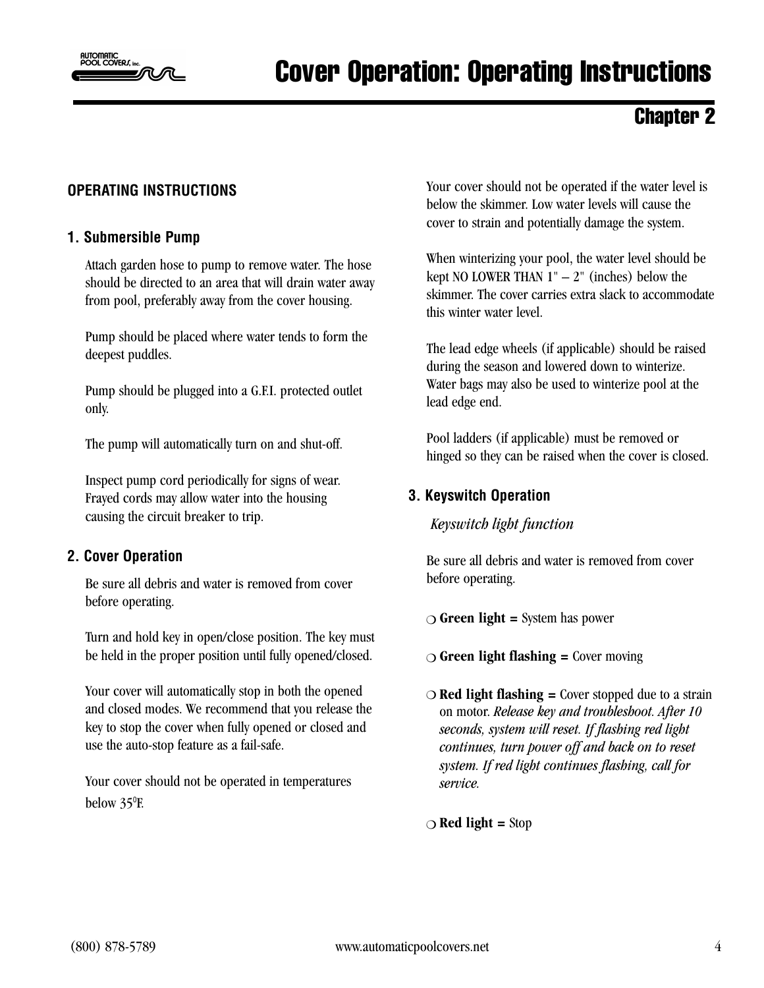

### Cover Operation: Operating Instructions

### Chapter 2

#### **OPERATING INSTRUCTIONS**

#### **1. Submersible Pump**

Attach garden hose to pump to remove water. The hose should be directed to an area that will drain water away from pool, preferably away from the cover housing.

Pump should be placed where water tends to form the deepest puddles.

Pump should be plugged into a G.F.I. protected outlet only.

The pump will automatically turn on and shut-off.

Inspect pump cord periodically for signs of wear. Frayed cords may allow water into the housing causing the circuit breaker to trip.

#### **2. Cover Operation**

Be sure all debris and water is removed from cover before operating.

Turn and hold key in open/close position. The key must be held in the proper position until fully opened/closed.

Your cover will automatically stop in both the opened and closed modes. We recommend that you release the key to stop the cover when fully opened or closed and use the auto-stop feature as a fail-safe.

Your cover should not be operated in temperatures below 35°F.

Your cover should not be operated if the water level is below the skimmer. Low water levels will cause the cover to strain and potentially damage the system.

When winterizing your pool, the water level should be kept NO LOWER THAN  $1" - 2"$  (inches) below the skimmer. The cover carries extra slack to accommodate this winter water level.

The lead edge wheels (if applicable) should be raised during the season and lowered down to winterize. Water bags may also be used to winterize pool at the lead edge end.

Pool ladders (if applicable) must be removed or hinged so they can be raised when the cover is closed.

#### **3. Keyswitch Operation**

*Keyswitch light function*

Be sure all debris and water is removed from cover before operating.

- $\bigcirc$  **Green light =** System has power
- ◯ **Green light flashing =** Cover moving
- $\bigcirc$  **Red light flashing =** Cover stopped due to a strain on motor. *Release key and troubleshoot. After 10 seconds, system will reset. If flashing red light continues, turn power off and back on to reset system. If red light continues flashing, call for service.*

m **Red light =** Stop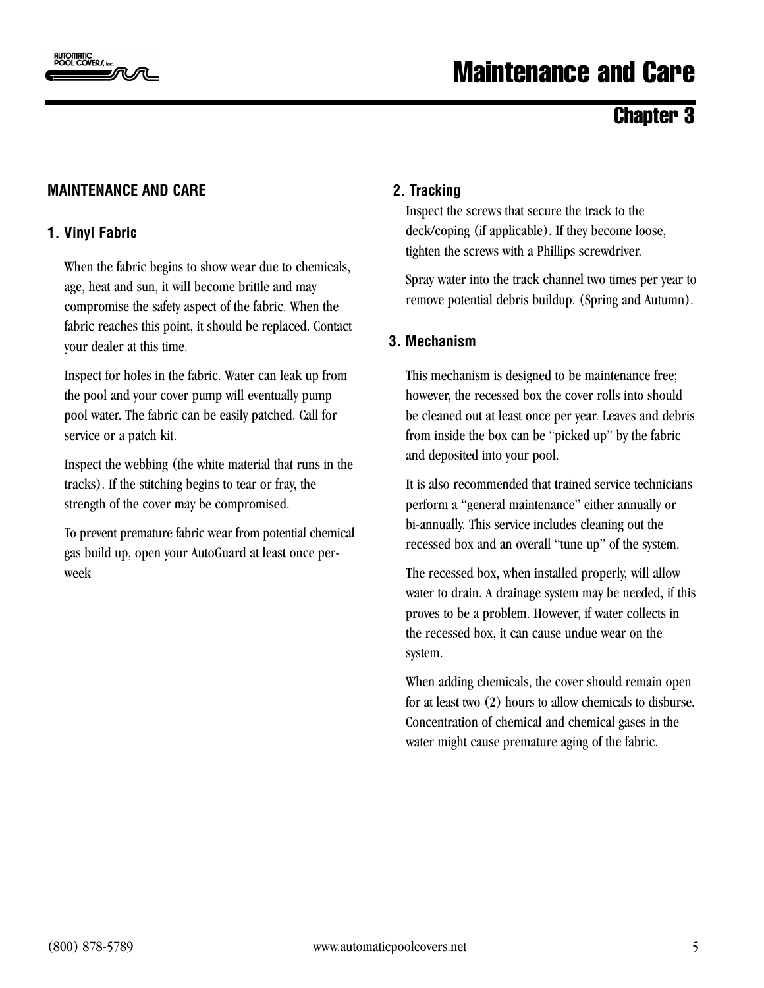

### Maintenance and Care

#### Chapter 3

#### **MAINTENANCE AND CARE**

#### **1. Vinyl Fabric**

When the fabric begins to show wear due to chemicals, age, heat and sun, it will become brittle and may compromise the safety aspect of the fabric. When the fabric reaches this point, it should be replaced. Contact your dealer at this time.

Inspect for holes in the fabric. Water can leak up from the pool and your cover pump will eventually pump pool water. The fabric can be easily patched. Call for service or a patch kit.

Inspect the webbing (the white material that runs in the tracks). If the stitching begins to tear or fray, the strength of the cover may be compromised.

To prevent premature fabric wear from potential chemical gas build up, open your AutoGuard at least once perweek

#### **2. Tracking**

Inspect the screws that secure the track to the deck/coping (if applicable). If they become loose, tighten the screws with a Phillips screwdriver.

Spray water into the track channel two times per year to remove potential debris buildup. (Spring and Autumn).

#### **3. Mechanism**

This mechanism is designed to be maintenance free; however, the recessed box the cover rolls into should be cleaned out at least once per year. Leaves and debris from inside the box can be "picked up" by the fabric and deposited into your pool.

It is also recommended that trained service technicians perform a "general maintenance" either annually or bi-annually. This service includes cleaning out the recessed box and an overall "tune up" of the system.

The recessed box, when installed properly, will allow water to drain. A drainage system may be needed, if this proves to be a problem. However, if water collects in the recessed box, it can cause undue wear on the system.

When adding chemicals, the cover should remain open for at least two (2) hours to allow chemicals to disburse. Concentration of chemical and chemical gases in the water might cause premature aging of the fabric.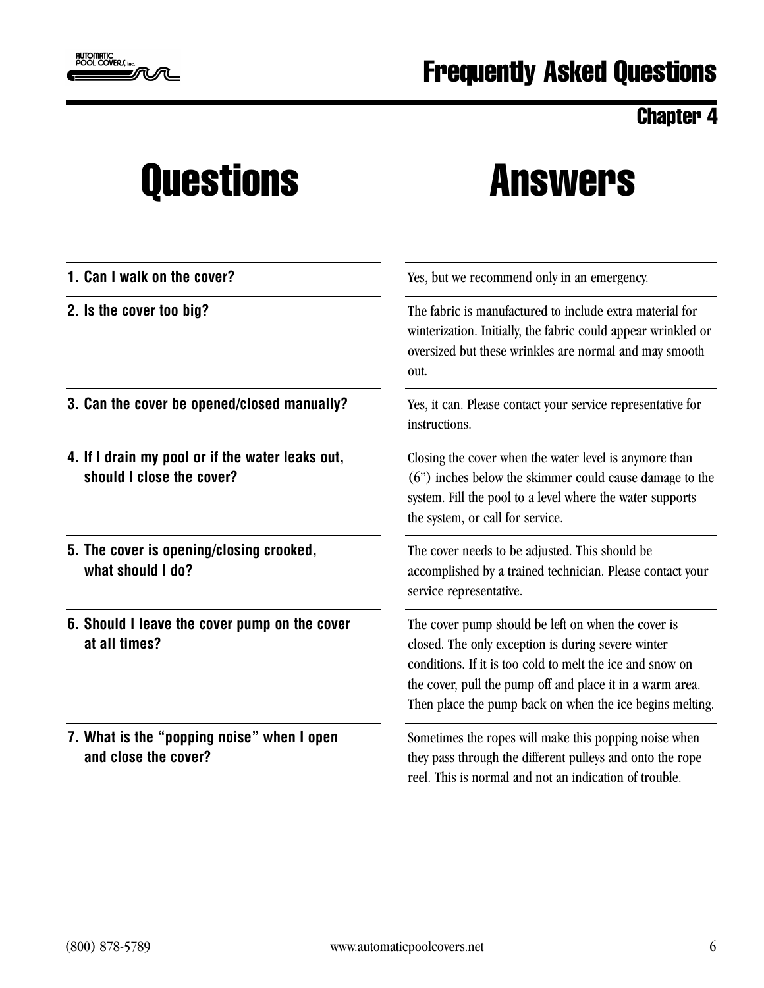

### Questions Answers

| 1. Can I walk on the cover?                                                   | Yes, but we recommend only in an emergency.                                                                                                                                                                                                                                                    |
|-------------------------------------------------------------------------------|------------------------------------------------------------------------------------------------------------------------------------------------------------------------------------------------------------------------------------------------------------------------------------------------|
| 2. Is the cover too big?                                                      | The fabric is manufactured to include extra material for<br>winterization. Initially, the fabric could appear wrinkled or<br>oversized but these wrinkles are normal and may smooth<br>out.                                                                                                    |
| 3. Can the cover be opened/closed manually?                                   | Yes, it can. Please contact your service representative for<br>instructions.                                                                                                                                                                                                                   |
| 4. If I drain my pool or if the water leaks out,<br>should I close the cover? | Closing the cover when the water level is anymore than<br>(6") inches below the skimmer could cause damage to the<br>system. Fill the pool to a level where the water supports<br>the system, or call for service.                                                                             |
| 5. The cover is opening/closing crooked,<br>what should I do?                 | The cover needs to be adjusted. This should be<br>accomplished by a trained technician. Please contact your<br>service representative.                                                                                                                                                         |
| 6. Should I leave the cover pump on the cover<br>at all times?                | The cover pump should be left on when the cover is<br>closed. The only exception is during severe winter<br>conditions. If it is too cold to melt the ice and snow on<br>the cover, pull the pump off and place it in a warm area.<br>Then place the pump back on when the ice begins melting. |
| 7. What is the "popping noise" when I open<br>and close the cover?            | Sometimes the ropes will make this popping noise when<br>they pass through the different pulleys and onto the rope<br>reel. This is normal and not an indication of trouble.                                                                                                                   |